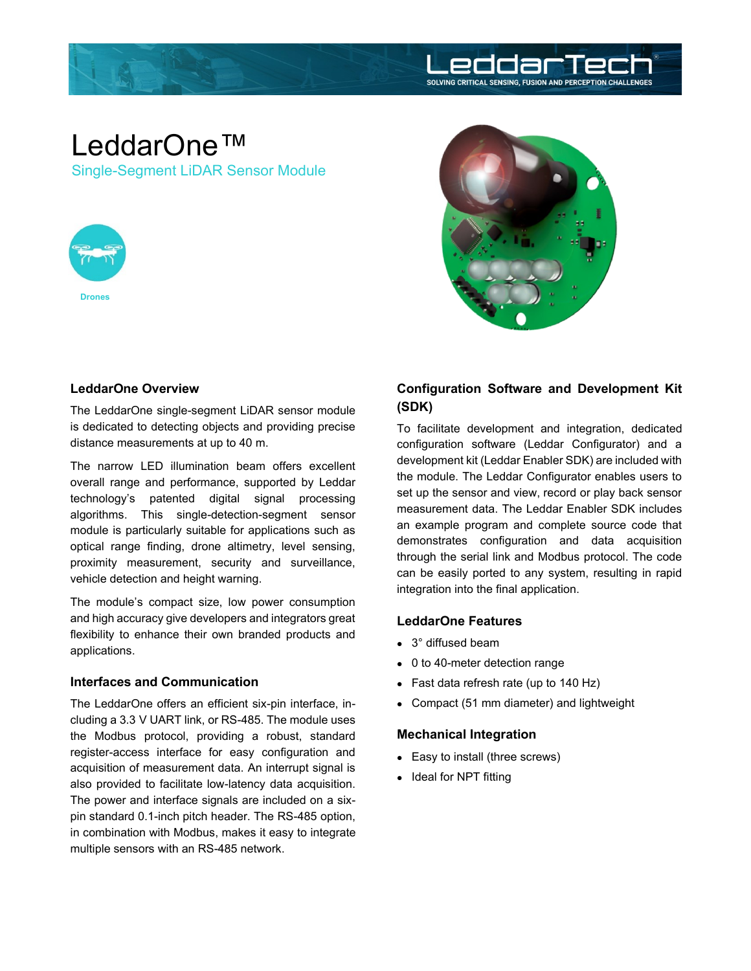

# LeddarOne™ Single-Segment LiDAR Sensor Module





### **LeddarOne Overview**

The LeddarOne single-segment LiDAR sensor module is dedicated to detecting objects and providing precise distance measurements at up to 40 m.

The narrow LED illumination beam offers excellent overall range and performance, supported by Leddar technology's patented digital signal processing algorithms. This single-detection-segment sensor module is particularly suitable for applications such as optical range finding, drone altimetry, level sensing, proximity measurement, security and surveillance, vehicle detection and height warning.

The module's compact size, low power consumption and high accuracy give developers and integrators great flexibility to enhance their own branded products and applications.

### **Interfaces and Communication**

The LeddarOne offers an efficient six-pin interface, including a 3.3 V UART link, or RS-485. The module uses the Modbus protocol, providing a robust, standard register-access interface for easy configuration and acquisition of measurement data. An interrupt signal is also provided to facilitate low-latency data acquisition. The power and interface signals are included on a sixpin standard 0.1-inch pitch header. The RS-485 option, in combination with Modbus, makes it easy to integrate multiple sensors with an RS-485 network.

# **Configuration Software and Development Kit (SDK)**

To facilitate development and integration, dedicated configuration software (Leddar Configurator) and a development kit (Leddar Enabler SDK) are included with the module. The Leddar Configurator enables users to set up the sensor and view, record or play back sensor measurement data. The Leddar Enabler SDK includes an example program and complete source code that demonstrates configuration and data acquisition through the serial link and Modbus protocol. The code can be easily ported to any system, resulting in rapid integration into the final application.

## **LeddarOne Features**

- 3° diffused beam
- 0 to 40-meter detection range
- Fast data refresh rate (up to 140 Hz)
- Compact (51 mm diameter) and lightweight

### **Mechanical Integration**

- Easy to install (three screws)
- Ideal for NPT fitting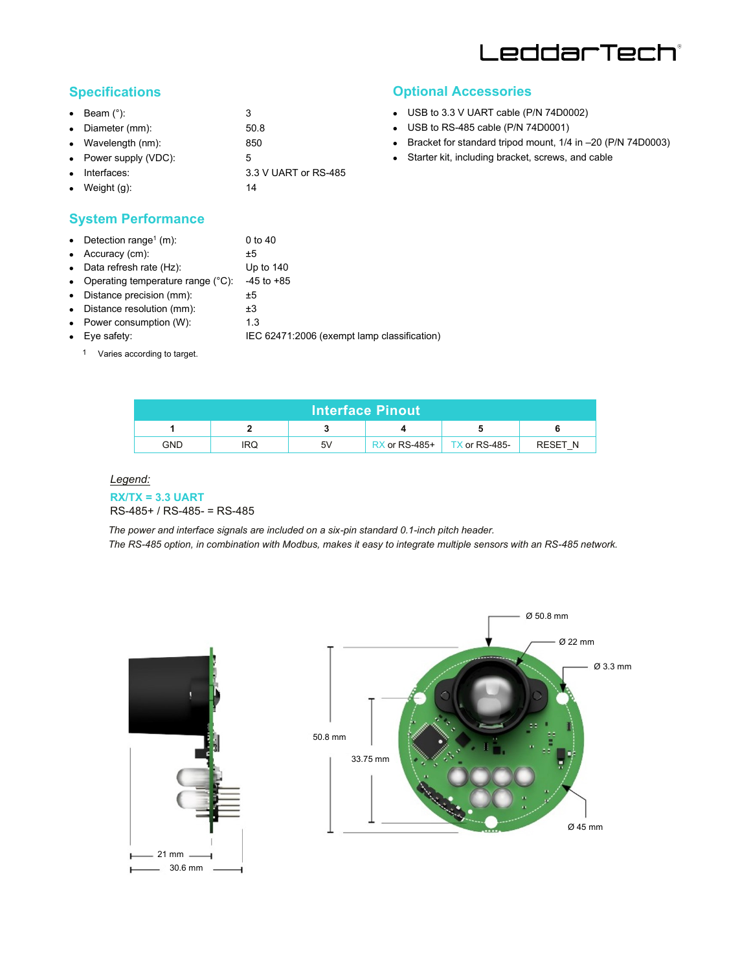

# **Specifications**

|           | $\bullet$ Beam $(°)$ :   | 3                    |
|-----------|--------------------------|----------------------|
|           | • Diameter (mm):         | 50.8                 |
|           | • Wavelength $(nm)$ :    | 850                  |
|           | • Power supply $(VDC)$ : | 5                    |
| $\bullet$ | Interfaces:              | 3.3 V UART or RS-485 |
| $\bullet$ | Weight (g):              | 14                   |

# **Optional Accessories**

- USB to 3.3 V UART cable (P/N 74D0002)
- USB to RS-485 cable (P/N 74D0001)
- Bracket for standard tripod mount, 1/4 in –20 (P/N 74D0003)
- Starter kit, including bracket, screws, and cable

# **System Performance**

| • Detection range <sup>1</sup> (m):           | 0 to 40                                     |
|-----------------------------------------------|---------------------------------------------|
| $\bullet$ Accuracy (cm):                      | ±5                                          |
| • Data refresh rate $(Hz)$ :                  | Up to $140$                                 |
| • Operating temperature range $(^{\circ}C)$ : | $-45$ to $+85$                              |
| • Distance precision (mm):                    | ±5                                          |
| • Distance resolution (mm):                   | ±3                                          |
| • Power consumption $(W)$ :                   | 1.3                                         |
| $\bullet$ Eye safety:                         | IEC 62471:2006 (exempt lamp classification) |
|                                               |                                             |

1 Varies according to target.

| <b>Interface Pinout</b> |     |    |                 |                 |                |  |  |
|-------------------------|-----|----|-----------------|-----------------|----------------|--|--|
|                         |     |    |                 |                 |                |  |  |
| <b>GND</b>              | IRQ | 5V | $RX$ or RS-485+ | $TX$ or RS-485- | <b>RESET N</b> |  |  |

#### *Legend:*

#### **RX/TX = 3.3 UART** RS-485+ / RS-485- = RS-485

*The power and interface signals are included on a six-pin standard 0.1-inch pitch header. The RS-485 option, in combination with Modbus, makes it easy to integrate multiple sensors with an RS-485 network.*